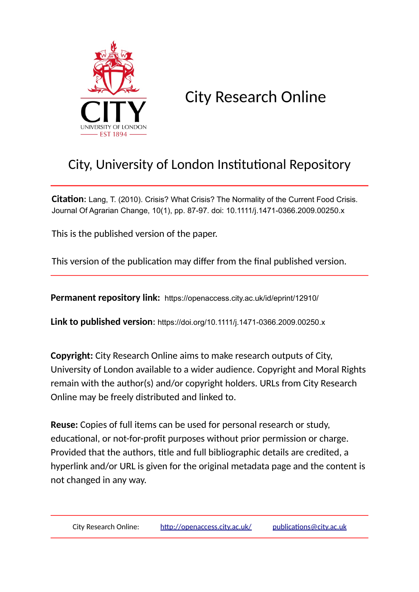

# City Research Online

# City, University of London Institutional Repository

**Citation**: Lang, T. (2010). Crisis? What Crisis? The Normality of the Current Food Crisis. Journal Of Agrarian Change, 10(1), pp. 87-97. doi: 10.1111/j.1471-0366.2009.00250.x

This is the published version of the paper.

This version of the publication may differ from the final published version.

**Permanent repository link:** https://openaccess.city.ac.uk/id/eprint/12910/

**Link to published version**: https://doi.org/10.1111/j.1471-0366.2009.00250.x

**Copyright:** City Research Online aims to make research outputs of City, University of London available to a wider audience. Copyright and Moral Rights remain with the author(s) and/or copyright holders. URLs from City Research Online may be freely distributed and linked to.

**Reuse:** Copies of full items can be used for personal research or study, educational, or not-for-profit purposes without prior permission or charge. Provided that the authors, title and full bibliographic details are credited, a hyperlink and/or URL is given for the original metadata page and the content is not changed in any way.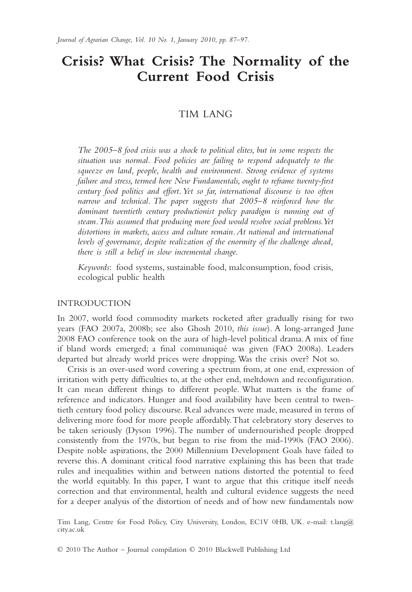# **Crisis? What Crisis? The Normality of the Current Food Crisis**

# TIM LANG

*The 2005–8 food crisis was a shock to political elites, but in some respects the situation was normal. Food policies are failing to respond adequately to the squeeze on land, people, health and environment. Strong evidence of systems failure and stress, termed here New Fundamentals, ought to reframe twenty-first century food politics and effort.Yet so far, international discourse is too often narrow and technical. The paper suggests that 2005–8 reinforced how the dominant twentieth century productionist policy paradigm is running out of steam.This assumed that producing more food would resolve social problems.Yet distortions in markets, access and culture remain.At national and international levels of governance, despite realization of the enormity of the challenge ahead, there is still a belief in slow incremental change.* 

*Keywords*: food systems, sustainable food, malconsumption, food crisis, ecological public health

#### INTRODUCTION

In 2007, world food commodity markets rocketed after gradually rising for two years (FAO 2007a, 2008b; see also Ghosh 2010, *this issue*). A long-arranged June 2008 FAO conference took on the aura of high-level political drama.A mix of fine if bland words emerged; a final communiqué was given (FAO 2008a). Leaders departed but already world prices were dropping.Was the crisis over? Not so.

Crisis is an over-used word covering a spectrum from, at one end, expression of irritation with petty difficulties to, at the other end, meltdown and reconfiguration. It can mean different things to different people. What matters is the frame of reference and indicators. Hunger and food availability have been central to twentieth century food policy discourse. Real advances were made, measured in terms of delivering more food for more people affordably.That celebratory story deserves to be taken seriously (Dyson 1996). The number of undernourished people dropped consistently from the 1970s, but began to rise from the mid-1990s (FAO 2006). Despite noble aspirations, the 2000 Millennium Development Goals have failed to reverse this. A dominant critical food narrative explaining this has been that trade rules and inequalities within and between nations distorted the potential to feed the world equitably. In this paper, I want to argue that this critique itself needs correction and that environmental, health and cultural evidence suggests the need for a deeper analysis of the distortion of needs and of how new fundamentals now

Tim Lang, Centre for Food Policy, City University, London, EC1V 0HB, UK. e-mail: t.lang@ city.ac.uk

© 2010 The Author – Journal compilation © 2010 Blackwell Publishing Ltd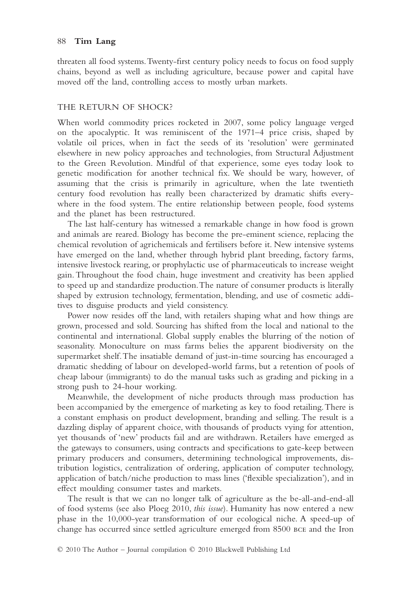threaten all food systems.Twenty-first century policy needs to focus on food supply chains, beyond as well as including agriculture, because power and capital have moved off the land, controlling access to mostly urban markets.

# THE RETURN OF SHOCK?

When world commodity prices rocketed in 2007, some policy language verged on the apocalyptic. It was reminiscent of the 1971–4 price crisis, shaped by volatile oil prices, when in fact the seeds of its 'resolution' were germinated elsewhere in new policy approaches and technologies, from Structural Adjustment to the Green Revolution. Mindful of that experience, some eyes today look to genetic modification for another technical fix. We should be wary, however, of assuming that the crisis is primarily in agriculture, when the late twentieth century food revolution has really been characterized by dramatic shifts everywhere in the food system. The entire relationship between people, food systems and the planet has been restructured.

The last half-century has witnessed a remarkable change in how food is grown and animals are reared. Biology has become the pre-eminent science, replacing the chemical revolution of agrichemicals and fertilisers before it. New intensive systems have emerged on the land, whether through hybrid plant breeding, factory farms, intensive livestock rearing, or prophylactic use of pharmaceuticals to increase weight gain. Throughout the food chain, huge investment and creativity has been applied to speed up and standardize production.The nature of consumer products is literally shaped by extrusion technology, fermentation, blending, and use of cosmetic additives to disguise products and yield consistency.

Power now resides off the land, with retailers shaping what and how things are grown, processed and sold. Sourcing has shifted from the local and national to the continental and international. Global supply enables the blurring of the notion of seasonality. Monoculture on mass farms belies the apparent biodiversity on the supermarket shelf.The insatiable demand of just-in-time sourcing has encouraged a dramatic shedding of labour on developed-world farms, but a retention of pools of cheap labour (immigrants) to do the manual tasks such as grading and picking in a strong push to 24-hour working.

Meanwhile, the development of niche products through mass production has been accompanied by the emergence of marketing as key to food retailing.There is a constant emphasis on product development, branding and selling. The result is a dazzling display of apparent choice, with thousands of products vying for attention, yet thousands of 'new' products fail and are withdrawn. Retailers have emerged as the gateways to consumers, using contracts and specifications to gate-keep between primary producers and consumers, determining technological improvements, distribution logistics, centralization of ordering, application of computer technology, application of batch/niche production to mass lines ('flexible specialization'), and in effect moulding consumer tastes and markets.

The result is that we can no longer talk of agriculture as the be-all-and-end-all of food systems (see also Ploeg 2010, *this issue*). Humanity has now entered a new phase in the 10,000-year transformation of our ecological niche. A speed-up of change has occurred since settled agriculture emerged from 8500 bce and the Iron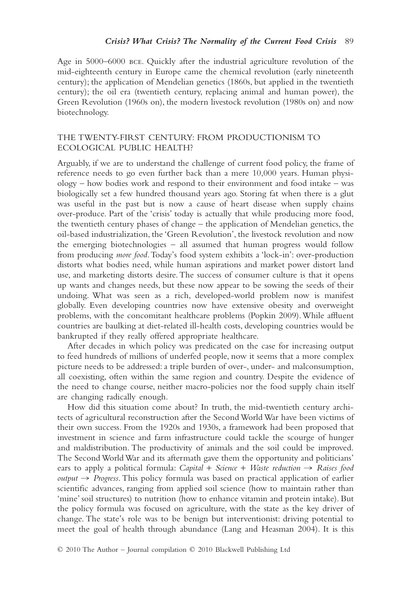Age in 5000–6000 bce. Quickly after the industrial agriculture revolution of the mid-eighteenth century in Europe came the chemical revolution (early nineteenth century); the application of Mendelian genetics (1860s, but applied in the twentieth century); the oil era (twentieth century, replacing animal and human power), the Green Revolution (1960s on), the modern livestock revolution (1980s on) and now biotechnology.

# THE TWENTY-FIRST CENTURY: FROM PRODUCTIONISM TO ECOLOGICAL PUBLIC HEALTH?

Arguably, if we are to understand the challenge of current food policy, the frame of reference needs to go even further back than a mere 10,000 years. Human physiology – how bodies work and respond to their environment and food intake – was biologically set a few hundred thousand years ago. Storing fat when there is a glut was useful in the past but is now a cause of heart disease when supply chains over-produce. Part of the 'crisis' today is actually that while producing more food, the twentieth century phases of change – the application of Mendelian genetics, the oil-based industrialization, the 'Green Revolution', the livestock revolution and now the emerging biotechnologies – all assumed that human progress would follow from producing *more food*.Today's food system exhibits a 'lock-in': over-production distorts what bodies need, while human aspirations and market power distort land use, and marketing distorts desire. The success of consumer culture is that it opens up wants and changes needs, but these now appear to be sowing the seeds of their undoing. What was seen as a rich, developed-world problem now is manifest globally. Even developing countries now have extensive obesity and overweight problems, with the concomitant healthcare problems (Popkin 2009).While affluent countries are baulking at diet-related ill-health costs, developing countries would be bankrupted if they really offered appropriate healthcare.

After decades in which policy was predicated on the case for increasing output to feed hundreds of millions of underfed people, now it seems that a more complex picture needs to be addressed: a triple burden of over-, under- and malconsumption, all coexisting, often within the same region and country. Despite the evidence of the need to change course, neither macro-policies nor the food supply chain itself are changing radically enough.

How did this situation come about? In truth, the mid-twentieth century architects of agricultural reconstruction after the Second World War have been victims of their own success. From the 1920s and 1930s, a framework had been proposed that investment in science and farm infrastructure could tackle the scourge of hunger and maldistribution. The productivity of animals and the soil could be improved. The SecondWorldWar and its aftermath gave them the opportunity and politicians' ears to apply a political formula: *Capital* + *Science* + *Waste reduction* , *Raises food output*  $\rightarrow$  *Progress*. This policy formula was based on practical application of earlier scientific advances, ranging from applied soil science (how to maintain rather than 'mine' soil structures) to nutrition (how to enhance vitamin and protein intake). But the policy formula was focused on agriculture, with the state as the key driver of change. The state's role was to be benign but interventionist: driving potential to meet the goal of health through abundance (Lang and Heasman 2004). It is this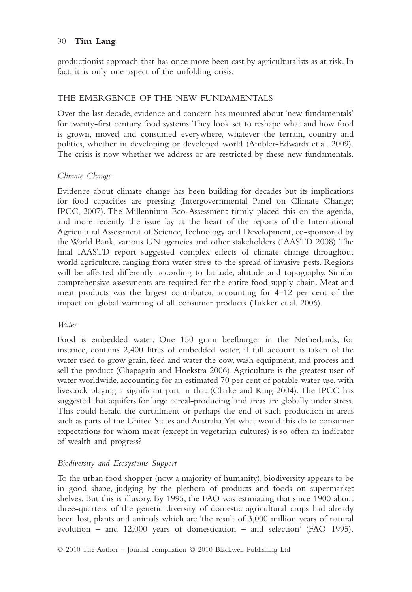# 90 **Tim Lang**

productionist approach that has once more been cast by agriculturalists as at risk. In fact, it is only one aspect of the unfolding crisis.

# THE EMERGENCE OF THE NEW FUNDAMENTALS

Over the last decade, evidence and concern has mounted about 'new fundamentals' for twenty-first century food systems.They look set to reshape what and how food is grown, moved and consumed everywhere, whatever the terrain, country and politics, whether in developing or developed world (Ambler-Edwards et al. 2009). The crisis is now whether we address or are restricted by these new fundamentals.

# *Climate Change*

Evidence about climate change has been building for decades but its implications for food capacities are pressing (Intergovernmental Panel on Climate Change; IPCC, 2007). The Millennium Eco-Assessment firmly placed this on the agenda, and more recently the issue lay at the heart of the reports of the International Agricultural Assessment of Science,Technology and Development, co-sponsored by the World Bank, various UN agencies and other stakeholders (IAASTD 2008).The final IAASTD report suggested complex effects of climate change throughout world agriculture, ranging from water stress to the spread of invasive pests. Regions will be affected differently according to latitude, altitude and topography. Similar comprehensive assessments are required for the entire food supply chain. Meat and meat products was the largest contributor, accounting for 4–12 per cent of the impact on global warming of all consumer products (Tukker et al. 2006).

# *Water*

Food is embedded water. One 150 gram beefburger in the Netherlands, for instance, contains 2,400 litres of embedded water, if full account is taken of the water used to grow grain, feed and water the cow, wash equipment, and process and sell the product (Chapagain and Hoekstra 2006). Agriculture is the greatest user of water worldwide, accounting for an estimated 70 per cent of potable water use, with livestock playing a significant part in that (Clarke and King 2004). The IPCC has suggested that aquifers for large cereal-producing land areas are globally under stress. This could herald the curtailment or perhaps the end of such production in areas such as parts of the United States and Australia.Yet what would this do to consumer expectations for whom meat (except in vegetarian cultures) is so often an indicator of wealth and progress?

# *Biodiversity and Ecosystems Support*

To the urban food shopper (now a majority of humanity), biodiversity appears to be in good shape, judging by the plethora of products and foods on supermarket shelves. But this is illusory. By 1995, the FAO was estimating that since 1900 about three-quarters of the genetic diversity of domestic agricultural crops had already been lost, plants and animals which are 'the result of 3,000 million years of natural evolution – and 12,000 years of domestication – and selection' (FAO 1995).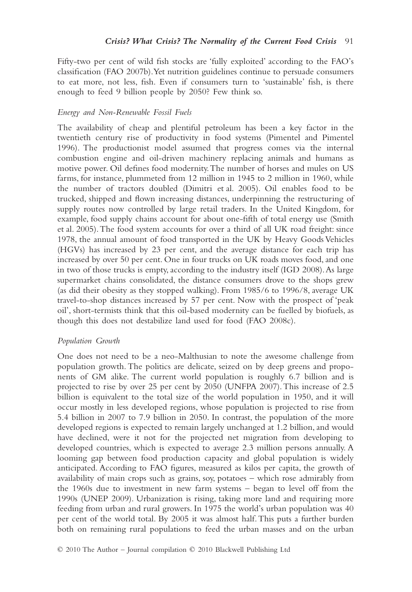Fifty-two per cent of wild fish stocks are 'fully exploited' according to the FAO's classification (FAO 2007b).Yet nutrition guidelines continue to persuade consumers to eat more, not less, fish. Even if consumers turn to 'sustainable' fish, is there enough to feed 9 billion people by 2050? Few think so.

#### *Energy and Non-Renewable Fossil Fuels*

The availability of cheap and plentiful petroleum has been a key factor in the twentieth century rise of productivity in food systems (Pimentel and Pimentel 1996). The productionist model assumed that progress comes via the internal combustion engine and oil-driven machinery replacing animals and humans as motive power. Oil defines food modernity.The number of horses and mules on US farms, for instance, plummeted from 12 million in 1945 to 2 million in 1960, while the number of tractors doubled (Dimitri et al. 2005). Oil enables food to be trucked, shipped and flown increasing distances, underpinning the restructuring of supply routes now controlled by large retail traders. In the United Kingdom, for example, food supply chains account for about one-fifth of total energy use (Smith et al. 2005).The food system accounts for over a third of all UK road freight: since 1978, the annual amount of food transported in the UK by Heavy Goods Vehicles (HGVs) has increased by 23 per cent, and the average distance for each trip has increased by over 50 per cent. One in four trucks on UK roads moves food, and one in two of those trucks is empty, according to the industry itself (IGD 2008).As large supermarket chains consolidated, the distance consumers drove to the shops grew (as did their obesity as they stopped walking). From 1985/6 to 1996/8, average UK travel-to-shop distances increased by 57 per cent. Now with the prospect of 'peak oil', short-termists think that this oil-based modernity can be fuelled by biofuels, as though this does not destabilize land used for food (FAO 2008c).

#### *Population Growth*

One does not need to be a neo-Malthusian to note the awesome challenge from population growth. The politics are delicate, seized on by deep greens and proponents of GM alike. The current world population is roughly 6.7 billion and is projected to rise by over 25 per cent by 2050 (UNFPA 2007).This increase of 2.5 billion is equivalent to the total size of the world population in 1950, and it will occur mostly in less developed regions, whose population is projected to rise from 5.4 billion in 2007 to 7.9 billion in 2050. In contrast, the population of the more developed regions is expected to remain largely unchanged at 1.2 billion, and would have declined, were it not for the projected net migration from developing to developed countries, which is expected to average 2.3 million persons annually. A looming gap between food production capacity and global population is widely anticipated. According to FAO figures, measured as kilos per capita, the growth of availability of main crops such as grains, soy, potatoes – which rose admirably from the 1960s due to investment in new farm systems – began to level off from the 1990s (UNEP 2009). Urbanization is rising, taking more land and requiring more feeding from urban and rural growers. In 1975 the world's urban population was 40 per cent of the world total. By 2005 it was almost half.This puts a further burden both on remaining rural populations to feed the urban masses and on the urban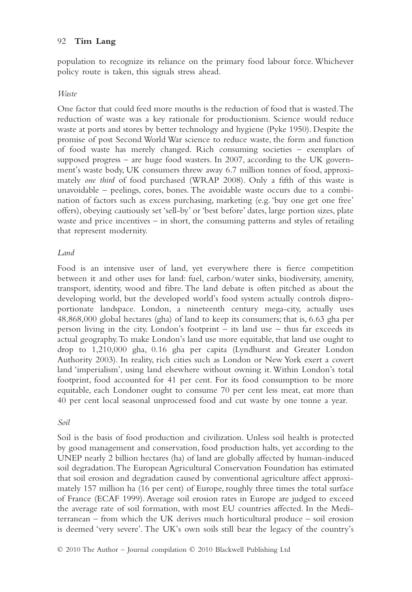# 92 **Tim Lang**

population to recognize its reliance on the primary food labour force. Whichever policy route is taken, this signals stress ahead.

#### *Waste*

One factor that could feed more mouths is the reduction of food that is wasted.The reduction of waste was a key rationale for productionism. Science would reduce waste at ports and stores by better technology and hygiene (Pyke 1950). Despite the promise of post Second World War science to reduce waste, the form and function of food waste has merely changed. Rich consuming societies – exemplars of supposed progress – are huge food wasters. In 2007, according to the UK government's waste body, UK consumers threw away 6.7 million tonnes of food, approximately *one third* of food purchased (WRAP 2008). Only a fifth of this waste is unavoidable – peelings, cores, bones. The avoidable waste occurs due to a combination of factors such as excess purchasing, marketing (e.g. 'buy one get one free' offers), obeying cautiously set 'sell-by' or 'best before' dates, large portion sizes, plate waste and price incentives – in short, the consuming patterns and styles of retailing that represent modernity.

#### *Land*

Food is an intensive user of land, yet everywhere there is fierce competition between it and other uses for land: fuel, carbon/water sinks, biodiversity, amenity, transport, identity, wood and fibre. The land debate is often pitched as about the developing world, but the developed world's food system actually controls disproportionate landspace. London, a nineteenth century mega-city, actually uses 48,868,000 global hectares (gha) of land to keep its consumers; that is, 6.63 gha per person living in the city. London's footprint – its land use – thus far exceeds its actual geography.To make London's land use more equitable, that land use ought to drop to 1,210,000 gha, 0.16 gha per capita (Lyndhurst and Greater London Authority 2003). In reality, rich cities such as London or New York exert a covert land 'imperialism', using land elsewhere without owning it.Within London's total footprint, food accounted for 41 per cent. For its food consumption to be more equitable, each Londoner ought to consume 70 per cent less meat, eat more than 40 per cent local seasonal unprocessed food and cut waste by one tonne a year.

#### *Soil*

Soil is the basis of food production and civilization. Unless soil health is protected by good management and conservation, food production halts, yet according to the UNEP nearly 2 billion hectares (ha) of land are globally affected by human-induced soil degradation.The European Agricultural Conservation Foundation has estimated that soil erosion and degradation caused by conventional agriculture affect approximately 157 million ha (16 per cent) of Europe, roughly three times the total surface of France (ECAF 1999). Average soil erosion rates in Europe are judged to exceed the average rate of soil formation, with most EU countries affected. In the Mediterranean – from which the UK derives much horticultural produce – soil erosion is deemed 'very severe'. The UK's own soils still bear the legacy of the country's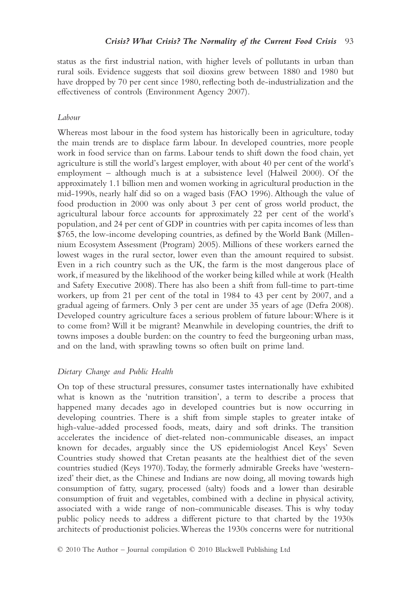status as the first industrial nation, with higher levels of pollutants in urban than rural soils. Evidence suggests that soil dioxins grew between 1880 and 1980 but have dropped by 70 per cent since 1980, reflecting both de-industrialization and the effectiveness of controls (Environment Agency 2007).

# *Labour*

Whereas most labour in the food system has historically been in agriculture, today the main trends are to displace farm labour. In developed countries, more people work in food service than on farms. Labour tends to shift down the food chain, yet agriculture is still the world's largest employer, with about 40 per cent of the world's employment – although much is at a subsistence level (Halweil 2000). Of the approximately 1.1 billion men and women working in agricultural production in the mid-1990s, nearly half did so on a waged basis (FAO 1996). Although the value of food production in 2000 was only about 3 per cent of gross world product, the agricultural labour force accounts for approximately 22 per cent of the world's population, and 24 per cent of GDP in countries with per capita incomes of less than \$765, the low-income developing countries, as defined by the World Bank (Millennium Ecosystem Assessment (Program) 2005). Millions of these workers earned the lowest wages in the rural sector, lower even than the amount required to subsist. Even in a rich country such as the UK, the farm is the most dangerous place of work, if measured by the likelihood of the worker being killed while at work (Health and Safety Executive 2008).There has also been a shift from full-time to part-time workers, up from 21 per cent of the total in 1984 to 43 per cent by 2007, and a gradual ageing of farmers. Only 3 per cent are under 35 years of age (Defra 2008). Developed country agriculture faces a serious problem of future labour:Where is it to come from? Will it be migrant? Meanwhile in developing countries, the drift to towns imposes a double burden: on the country to feed the burgeoning urban mass, and on the land, with sprawling towns so often built on prime land.

# *Dietary Change and Public Health*

On top of these structural pressures, consumer tastes internationally have exhibited what is known as the 'nutrition transition', a term to describe a process that happened many decades ago in developed countries but is now occurring in developing countries. There is a shift from simple staples to greater intake of high-value-added processed foods, meats, dairy and soft drinks. The transition accelerates the incidence of diet-related non-communicable diseases, an impact known for decades, arguably since the US epidemiologist Ancel Keys' Seven Countries study showed that Cretan peasants ate the healthiest diet of the seven countries studied (Keys 1970).Today, the formerly admirable Greeks have 'westernized' their diet, as the Chinese and Indians are now doing, all moving towards high consumption of fatty, sugary, processed (salty) foods and a lower than desirable consumption of fruit and vegetables, combined with a decline in physical activity, associated with a wide range of non-communicable diseases. This is why today public policy needs to address a different picture to that charted by the 1930s architects of productionist policies.Whereas the 1930s concerns were for nutritional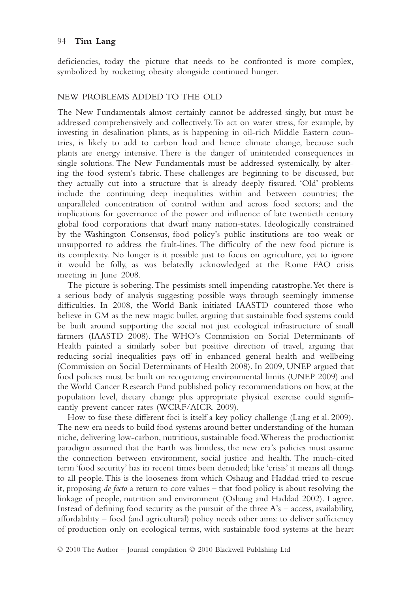# 94 **Tim Lang**

deficiencies, today the picture that needs to be confronted is more complex, symbolized by rocketing obesity alongside continued hunger.

# NEW PROBLEMS ADDED TO THE OLD

The New Fundamentals almost certainly cannot be addressed singly, but must be addressed comprehensively and collectively. To act on water stress, for example, by investing in desalination plants, as is happening in oil-rich Middle Eastern countries, is likely to add to carbon load and hence climate change, because such plants are energy intensive. There is the danger of unintended consequences in single solutions. The New Fundamentals must be addressed systemically, by altering the food system's fabric. These challenges are beginning to be discussed, but they actually cut into a structure that is already deeply fissured. 'Old' problems include the continuing deep inequalities within and between countries; the unparalleled concentration of control within and across food sectors; and the implications for governance of the power and influence of late twentieth century global food corporations that dwarf many nation-states. Ideologically constrained by the Washington Consensus, food policy's public institutions are too weak or unsupported to address the fault-lines. The difficulty of the new food picture is its complexity. No longer is it possible just to focus on agriculture, yet to ignore it would be folly, as was belatedly acknowledged at the Rome FAO crisis meeting in June 2008.

The picture is sobering.The pessimists smell impending catastrophe.Yet there is a serious body of analysis suggesting possible ways through seemingly immense difficulties. In 2008, the World Bank initiated IAASTD countered those who believe in GM as the new magic bullet, arguing that sustainable food systems could be built around supporting the social not just ecological infrastructure of small farmers (IAASTD 2008). The WHO's Commission on Social Determinants of Health painted a similarly sober but positive direction of travel, arguing that reducing social inequalities pays off in enhanced general health and wellbeing (Commission on Social Determinants of Health 2008). In 2009, UNEP argued that food policies must be built on recognizing environmental limits (UNEP 2009) and theWorld Cancer Research Fund published policy recommendations on how, at the population level, dietary change plus appropriate physical exercise could significantly prevent cancer rates (WCRF/AICR 2009).

How to fuse these different foci is itself a key policy challenge (Lang et al. 2009). The new era needs to build food systems around better understanding of the human niche, delivering low-carbon, nutritious, sustainable food.Whereas the productionist paradigm assumed that the Earth was limitless, the new era's policies must assume the connection between environment, social justice and health. The much-cited term 'food security' has in recent times been denuded; like 'crisis' it means all things to all people.This is the looseness from which Oshaug and Haddad tried to rescue it, proposing *de facto* a return to core values – that food policy is about resolving the linkage of people, nutrition and environment (Oshaug and Haddad 2002). I agree. Instead of defining food security as the pursuit of the three  $A$ 's  $-$  access, availability, affordability – food (and agricultural) policy needs other aims: to deliver sufficiency of production only on ecological terms, with sustainable food systems at the heart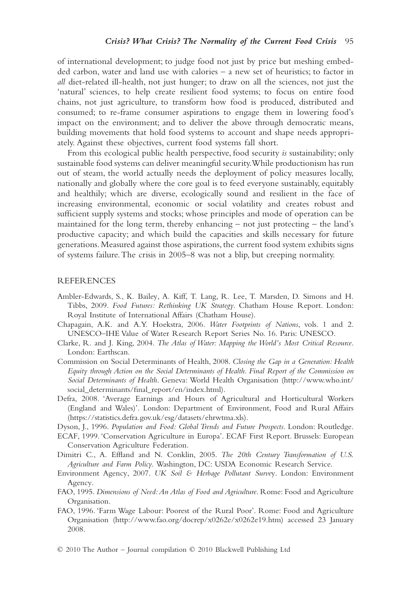#### *Crisis? What Crisis? The Normality of the Current Food Crisis* 95

of international development; to judge food not just by price but meshing embedded carbon, water and land use with calories – a new set of heuristics; to factor in *all* diet-related ill-health, not just hunger; to draw on all the sciences, not just the 'natural' sciences, to help create resilient food systems; to focus on entire food chains, not just agriculture, to transform how food is produced, distributed and consumed; to re-frame consumer aspirations to engage them in lowering food's impact on the environment; and to deliver the above through democratic means, building movements that hold food systems to account and shape needs appropriately. Against these objectives, current food systems fall short.

From this ecological public health perspective, food security *is* sustainability; only sustainable food systems can deliver meaningful security.While productionism has run out of steam, the world actually needs the deployment of policy measures locally, nationally and globally where the core goal is to feed everyone sustainably, equitably and healthily; which are diverse, ecologically sound and resilient in the face of increasing environmental, economic or social volatility and creates robust and sufficient supply systems and stocks; whose principles and mode of operation can be maintained for the long term, thereby enhancing – not just protecting – the land's productive capacity; and which build the capacities and skills necessary for future generations.Measured against those aspirations,the current food system exhibits signs of systems failure.The crisis in 2005–8 was not a blip, but creeping normality.

#### **REFERENCES**

- Ambler-Edwards, S., K. Bailey, A. Kiff, T. Lang, R. Lee, T. Marsden, D. Simons and H. Tibbs, 2009. *Food Futures: Rethinking UK Strategy*. Chatham House Report. London: Royal Institute of International Affairs (Chatham House).
- Chapagain, A.K. and A.Y. Hoekstra, 2006. *Water Footprints of Nations*, vols. 1 and 2. UNESCO–IHE Value of Water Research Report Series No. 16. Paris: UNESCO.
- Clarke, R. and J. King, 2004. *The Atlas of Water: Mapping the World's Most Critical Resource*. London: Earthscan.
- Commission on Social Determinants of Health, 2008. *Closing the Gap in a Generation: Health Equity through Action on the Social Determinants of Health. Final Report of the Commission on Social Determinants of Health*. Geneva: World Health Organisation (http://www.who.int/ social\_determinants/final\_report/en/index.html).
- Defra, 2008. 'Average Earnings and Hours of Agricultural and Horticultural Workers (England and Wales)'. London: Department of Environment, Food and Rural Affairs (https://statistics.defra.gov.uk/esg/datasets/ehrwtma.xls).
- Dyson, J., 1996. *Population and Food: Global Trends and Future Prospects*. London: Routledge.
- ECAF, 1999. 'Conservation Agriculture in Europa'. ECAF First Report. Brussels: European Conservation Agriculture Federation.
- Dimitri C., A. Effland and N. Conklin, 2005. *The 20th Century Transformation of U.S. Agriculture and Farm Policy*. Washington, DC: USDA Economic Research Service.
- Environment Agency, 2007. *UK Soil & Herbage Pollutant Surve*y. London: Environment Agency.
- FAO, 1995. *Dimensions of Need:An Atlas of Food and Agriculture*. Rome: Food and Agriculture Organisation.
- FAO, 1996. 'Farm Wage Labour: Poorest of the Rural Poor'. Rome: Food and Agriculture Organisation (http://www.fao.org/docrep/x0262e/x0262e19.htm) accessed 23 January 2008.
- © 2010 The Author Journal compilation © 2010 Blackwell Publishing Ltd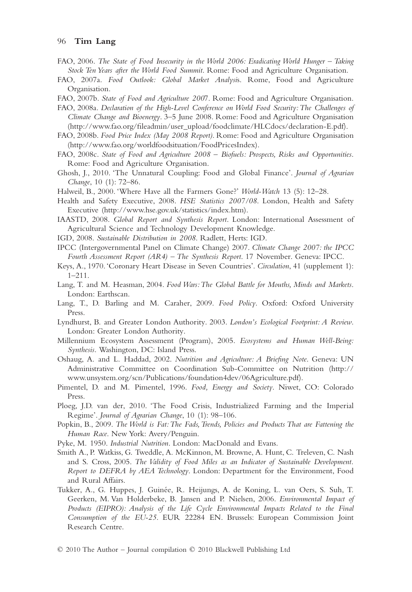- FAO, 2006. *The State of Food Insecurity in the World 2006: Eradicating World Hunger Taking Stock Ten Years after the World Food Summit*. Rome: Food and Agriculture Organisation.
- FAO, 2007a. *Food Outlook: Global Market Analysi*s. Rome, Food and Agriculture Organisation.
- FAO, 2007b. *State of Food and Agriculture 200*7. Rome: Food and Agriculture Organisation.
- FAO, 2008a. *Declaration of the High-Level Conference on World Food Security:The Challenges of Climate Change and Bioenergy*. 3–5 June 2008. Rome: Food and Agriculture Organisation (http://www.fao.org/fileadmin/user\_upload/foodclimate/HLCdocs/declaration-E.pdf).
- FAO, 2008b. *Food Price Index (May 2008 Report)*. Rome: Food and Agriculture Organisation (http://www.fao.org/worldfoodsituation/FoodPricesIndex).
- FAO, 2008c. *State of Food and Agriculture 2008 Biofuels: Prospects, Risks and Opportunities*. Rome: Food and Agriculture Organisation.
- Ghosh, J., 2010. 'The Unnatural Coupling: Food and Global Finance'. *Journal of Agrarian Change*, 10 (1): 72–86.
- Halweil, B., 2000. 'Where Have all the Farmers Gone?' *World-Watch* 13 (5): 12–28.
- Health and Safety Executive, 2008. *HSE Statistics 2007/08*. London, Health and Safety Executive (http://www.hse.gov.uk/statistics/index.htm).
- IAASTD, 2008. *Global Report and Synthesis Report*. London: International Assessment of Agricultural Science and Technology Development Knowledge.
- IGD, 2008. *Sustainable Distribution in 2008*. Radlett, Herts: IGD.
- IPCC (Intergovernmental Panel on Climate Change) 2007. *Climate Change 2007: the IPCC Fourth Assessment Report (AR4) – The Synthesis Report*. 17 November. Geneva: IPCC.
- Keys, A., 1970.'Coronary Heart Disease in Seven Countries'. *Circulation*, 41 (supplement 1): 1–211.
- Lang, T. and M. Heasman, 2004. *Food Wars:The Global Battle for Mouths, Minds and Markets*. London: Earthscan.
- Lang, T., D. Barling and M. Caraher, 2009. *Food Policy*. Oxford: Oxford University Press.
- Lyndhurst, B. and Greater London Authority. 2003. *London's Ecological Footprint: A Review*. London: Greater London Authority.
- Millennium Ecosystem Assessment (Program), 2005. *Ecosystems and Human Well-Being: Synthesis*. Washington, DC: Island Press.
- Oshaug, A. and L. Haddad, 2002. *Nutrition and Agriculture: A Briefing Note*. Geneva: UN Administrative Committee on Coordination Sub-Committee on Nutrition (http:// www.unsystem.org/scn/Publications/foundation4dev/06Agriculture.pdf).
- Pimentel, D. and M. Pimentel, 1996. *Food, Energy and Society*. Niwet, CO: Colorado Press.
- Ploeg, J.D. van der, 2010. 'The Food Crisis, Industrialized Farming and the Imperial Regime'. *Journal of Agrarian Change*, 10 (1): 98–106.
- Popkin, B., 2009. *The World is Fat:The Fads,Trends, Policies and Products That are Fattening the Human Race*. New York: Avery/Penguin.
- Pyke, M. 1950. *Industrial Nutrition*. London: MacDonald and Evans.
- Smith A., P. Watkiss, G. Tweddle, A. McKinnon, M. Browne, A. Hunt, C. Treleven, C. Nash and S. Cross, 2005. *The Validity of Food Miles as an Indicator of Sustainable Development. Report to DEFRA by AEA Technology*. London: Department for the Environment, Food and Rural Affairs.
- Tukker, A., G. Huppes, J. Guinée, R. Heijungs, A. de Koning, L. van Oers, S. Suh, T. Geerken, M. Van Holderbeke, B. Jansen and P. Nielsen, 2006. *Environmental Impact of Products (EIPRO): Analysis of the Life Cycle Environmental Impacts Related to the Final Consumption of the EU-25*. EUR 22284 EN. Brussels: European Commission Joint Research Centre.
- © 2010 The Author Journal compilation © 2010 Blackwell Publishing Ltd